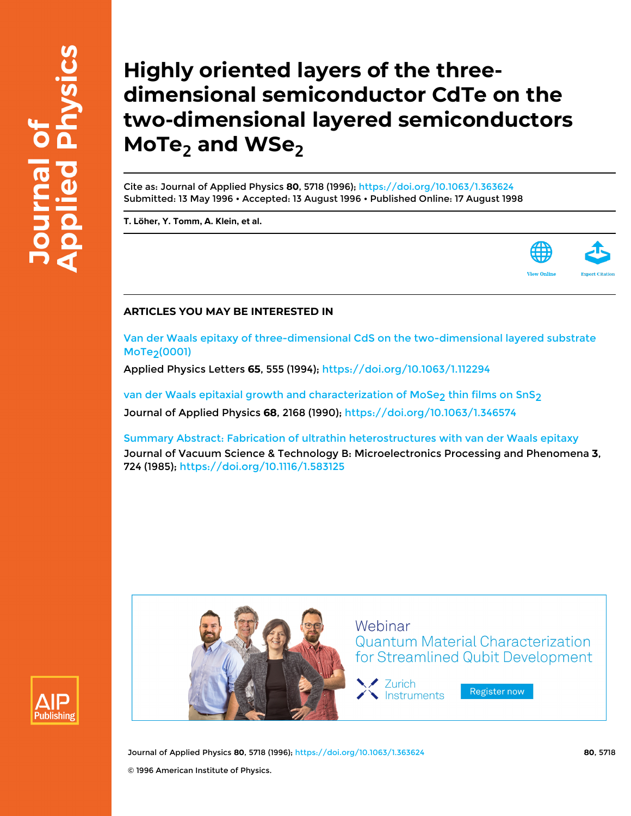# **Highly oriented layers of the threedimensional semiconductor CdTe on the two-dimensional layered semiconductors MoTe<sup>2</sup> and WSe<sup>2</sup>**

Cite as: Journal of Applied Physics **80**, 5718 (1996);<https://doi.org/10.1063/1.363624> Submitted: 13 May 1996 • Accepted: 13 August 1996 • Published Online: 17 August 1998

**[T. Löher](https://aip.scitation.org/author/L%C3%B6her%2C+T), [Y. Tomm,](https://aip.scitation.org/author/Tomm%2C+Y) [A. Klein,](https://aip.scitation.org/author/Klein%2C+A) et al.**



# **ARTICLES YOU MAY BE INTERESTED IN**

[Van der Waals epitaxy of three-dimensional CdS on the two-dimensional layered substrate](https://aip.scitation.org/doi/10.1063/1.112294) MoTe<sub>2</sub>(0001)

Applied Physics Letters **65**, 555 (1994); <https://doi.org/10.1063/1.112294>

van der Waals epitaxial growth and characterization of MoSe<sub>2</sub> thin films on SnS<sub>2</sub> Journal of Applied Physics **68**, 2168 (1990); <https://doi.org/10.1063/1.346574>

[Summary Abstract: Fabrication of ultrathin heterostructures with van der Waals epitaxy](https://aip.scitation.org/doi/10.1116/1.583125) Journal of Vacuum Science & Technology B: Microelectronics Processing and Phenomena **3**, 724 (1985);<https://doi.org/10.1116/1.583125>





Journal of Applied Physics **80**, 5718 (1996); <https://doi.org/10.1063/1.363624> **80**, 5718 © 1996 American Institute of Physics.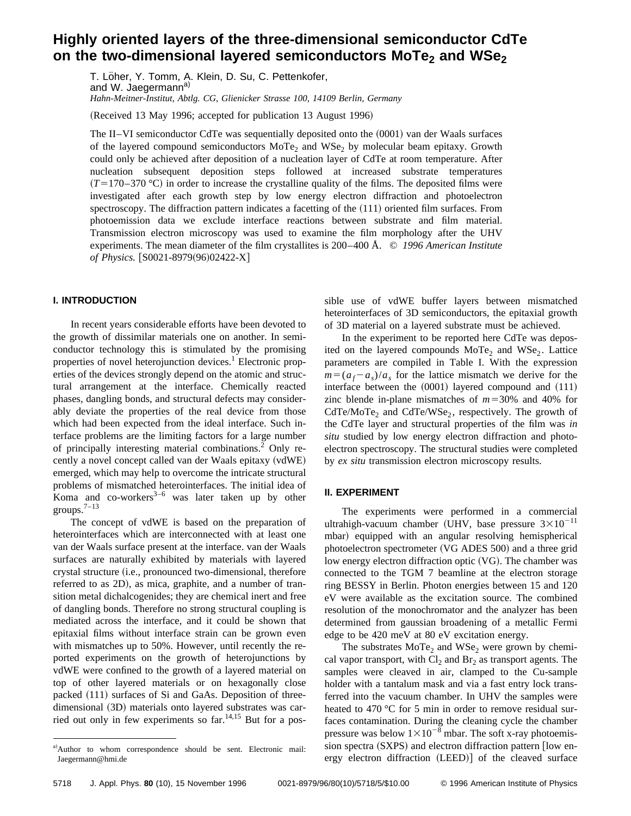# **Highly oriented layers of the three-dimensional semiconductor CdTe on the two-dimensional layered semiconductors MoTe<sub>2</sub> and WSe<sub>2</sub>**

T. Löher, Y. Tomm, A. Klein, D. Su, C. Pettenkofer, and W. Jaegermann<sup>a)</sup> *Hahn-Meitner-Institut, Abtlg. CG, Glienicker Strasse 100, 14109 Berlin, Germany*

(Received 13 May 1996; accepted for publication 13 August 1996)

The II–VI semiconductor CdTe was sequentially deposited onto the  $(0001)$  van der Waals surfaces of the layered compound semiconductors  $MoTe<sub>2</sub>$  and  $WSe<sub>2</sub>$  by molecular beam epitaxy. Growth could only be achieved after deposition of a nucleation layer of CdTe at room temperature. After nucleation subsequent deposition steps followed at increased substrate temperatures  $(T=170-370 \degree C)$  in order to increase the crystalline quality of the films. The deposited films were investigated after each growth step by low energy electron diffraction and photoelectron spectroscopy. The diffraction pattern indicates a facetting of the  $(111)$  oriented film surfaces. From photoemission data we exclude interface reactions between substrate and film material. Transmission electron microscopy was used to examine the film morphology after the UHV experiments. The mean diameter of the film crystallites is 200–400 Å. © *1996 American Institute of Physics.* [S0021-8979(96)02422-X]

### **I. INTRODUCTION**

In recent years considerable efforts have been devoted to the growth of dissimilar materials one on another. In semiconductor technology this is stimulated by the promising properties of novel heterojunction devices.<sup>1</sup> Electronic properties of the devices strongly depend on the atomic and structural arrangement at the interface. Chemically reacted phases, dangling bonds, and structural defects may considerably deviate the properties of the real device from those which had been expected from the ideal interface. Such interface problems are the limiting factors for a large number of principally interesting material combinations.<sup>2</sup> Only recently a novel concept called van der Waals epitaxy (vdWE) emerged, which may help to overcome the intricate structural problems of mismatched heterointerfaces. The initial idea of Koma and co-workers<sup>3–6</sup> was later taken up by other groups. $7-13$ 

The concept of vdWE is based on the preparation of heterointerfaces which are interconnected with at least one van der Waals surface present at the interface. van der Waals surfaces are naturally exhibited by materials with layered crystal structure (i.e., pronounced two-dimensional, therefore referred to as 2D), as mica, graphite, and a number of transition metal dichalcogenides; they are chemical inert and free of dangling bonds. Therefore no strong structural coupling is mediated across the interface, and it could be shown that epitaxial films without interface strain can be grown even with mismatches up to 50%. However, until recently the reported experiments on the growth of heterojunctions by vdWE were confined to the growth of a layered material on top of other layered materials or on hexagonally close packed (111) surfaces of Si and GaAs. Deposition of threedimensional (3D) materials onto layered substrates was carried out only in few experiments so  $far.$ <sup>14,15</sup> But for a possible use of vdWE buffer layers between mismatched heterointerfaces of 3D semiconductors, the epitaxial growth of 3D material on a layered substrate must be achieved.

In the experiment to be reported here CdTe was deposited on the layered compounds  $MoTe<sub>2</sub>$  and  $WSe<sub>2</sub>$ . Lattice parameters are compiled in Table I. With the expression  $m=(a_f-a_s)/a_s$  for the lattice mismatch we derive for the interface between the  $(0001)$  layered compound and  $(111)$ zinc blende in-plane mismatches of  $m=30%$  and 40% for  $CdTe/MoTe<sub>2</sub>$  and  $CdTe/WSe<sub>2</sub>$ , respectively. The growth of the CdTe layer and structural properties of the film was *in situ* studied by low energy electron diffraction and photoelectron spectroscopy. The structural studies were completed by *ex situ* transmission electron microscopy results.

## **II. EXPERIMENT**

The experiments were performed in a commercial ultrahigh-vacuum chamber (UHV, base pressure  $3\times10^{-11}$ mbar) equipped with an angular resolving hemispherical photoelectron spectrometer (VG ADES 500) and a three grid low energy electron diffraction optic (VG). The chamber was connected to the TGM 7 beamline at the electron storage ring BESSY in Berlin. Photon energies between 15 and 120 eV were available as the excitation source. The combined resolution of the monochromator and the analyzer has been determined from gaussian broadening of a metallic Fermi edge to be 420 meV at 80 eV excitation energy.

The substrates  $MoTe<sub>2</sub>$  and  $WSe<sub>2</sub>$  were grown by chemical vapor transport, with  $Cl_2$  and  $Br_2$  as transport agents. The samples were cleaved in air, clamped to the Cu-sample holder with a tantalum mask and via a fast entry lock transferred into the vacuum chamber. In UHV the samples were heated to 470 °C for 5 min in order to remove residual surfaces contamination. During the cleaning cycle the chamber pressure was below  $1\times10^{-8}$  mbar. The soft x-ray photoemission spectra (SXPS) and electron diffraction pattern [low energy electron diffraction (LEED)] of the cleaved surface

a)Author to whom correspondence should be sent. Electronic mail: Jaegermann@hmi.de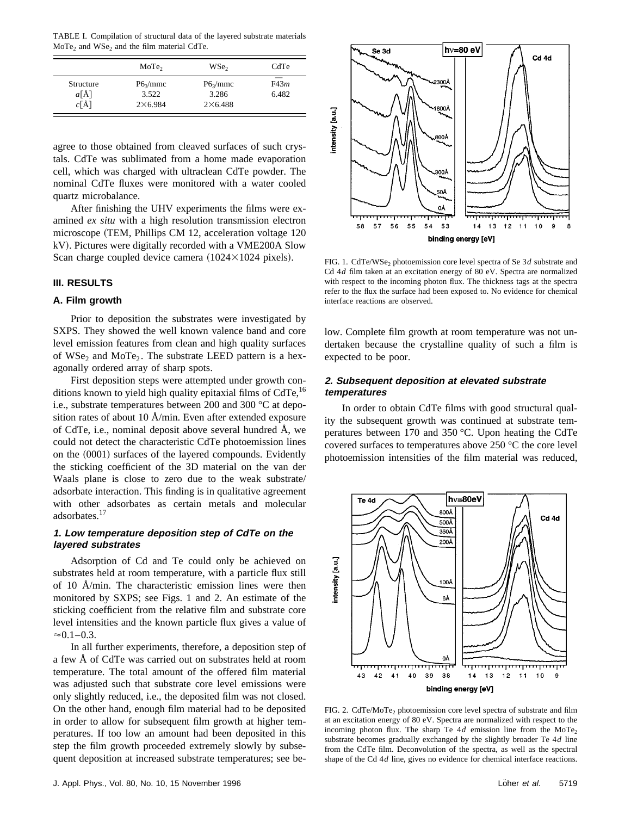TABLE I. Compilation of structural data of the layered substrate materials  $MoTe<sub>2</sub>$  and  $WSe<sub>2</sub>$  and the film material CdTe.

|                           | MoTe <sub>2</sub>                      | WSe <sub>2</sub>                       | CdTe          |
|---------------------------|----------------------------------------|----------------------------------------|---------------|
| Structure<br>a[A]<br>cl A | $P6_2/mmc$<br>3.522<br>$2\times 6.984$ | $P6_2/mmc$<br>3.286<br>$2\times 6.488$ | F43m<br>6.482 |

agree to those obtained from cleaved surfaces of such crystals. CdTe was sublimated from a home made evaporation cell, which was charged with ultraclean CdTe powder. The nominal CdTe fluxes were monitored with a water cooled quartz microbalance.

After finishing the UHV experiments the films were examined *ex situ* with a high resolution transmission electron microscope (TEM, Phillips CM 12, acceleration voltage 120 kV). Pictures were digitally recorded with a VME200A Slow Scan charge coupled device camera  $(1024\times1024$  pixels).

#### **III. RESULTS**

#### **A. Film growth**

Prior to deposition the substrates were investigated by SXPS. They showed the well known valence band and core level emission features from clean and high quality surfaces of  $WSe<sub>2</sub>$  and  $MoTe<sub>2</sub>$ . The substrate LEED pattern is a hexagonally ordered array of sharp spots.

First deposition steps were attempted under growth conditions known to yield high quality epitaxial films of  $CdTe<sup>16</sup>$ i.e., substrate temperatures between 200 and 300 °C at deposition rates of about 10 Å/min. Even after extended exposure of CdTe, i.e., nominal deposit above several hundred Å, we could not detect the characteristic CdTe photoemission lines on the  $(0001)$  surfaces of the layered compounds. Evidently the sticking coefficient of the 3D material on the van der Waals plane is close to zero due to the weak substrate/ adsorbate interaction. This finding is in qualitative agreement with other adsorbates as certain metals and molecular adsorbates.<sup>17</sup>

#### **1. Low temperature deposition step of CdTe on the layered substrates**

Adsorption of Cd and Te could only be achieved on substrates held at room temperature, with a particle flux still of 10 Å/min. The characteristic emission lines were then monitored by SXPS; see Figs. 1 and 2. An estimate of the sticking coefficient from the relative film and substrate core level intensities and the known particle flux gives a value of  $\approx 0.1-0.3$ .

In all further experiments, therefore, a deposition step of a few Å of CdTe was carried out on substrates held at room temperature. The total amount of the offered film material was adjusted such that substrate core level emissions were only slightly reduced, i.e., the deposited film was not closed. On the other hand, enough film material had to be deposited in order to allow for subsequent film growth at higher temperatures. If too low an amount had been deposited in this step the film growth proceeded extremely slowly by subsequent deposition at increased substrate temperatures; see be-



FIG. 1. CdTe/WSe<sub>2</sub> photoemission core level spectra of Se 3d substrate and Cd 4*d* film taken at an excitation energy of 80 eV. Spectra are normalized with respect to the incoming photon flux. The thickness tags at the spectra refer to the flux the surface had been exposed to. No evidence for chemical interface reactions are observed.

low. Complete film growth at room temperature was not undertaken because the crystalline quality of such a film is expected to be poor.

#### **2. Subsequent deposition at elevated substrate temperatures**

In order to obtain CdTe films with good structural quality the subsequent growth was continued at substrate temperatures between 170 and 350 °C. Upon heating the CdTe covered surfaces to temperatures above 250 °C the core level photoemission intensities of the film material was reduced,



FIG. 2. CdTe/MoTe<sub>2</sub> photoemission core level spectra of substrate and film at an excitation energy of 80 eV. Spectra are normalized with respect to the incoming photon flux. The sharp Te  $4d$  emission line from the MoTe<sub>2</sub> substrate becomes gradually exchanged by the slightly broader Te 4*d* line from the CdTe film. Deconvolution of the spectra, as well as the spectral shape of the Cd 4*d* line, gives no evidence for chemical interface reactions.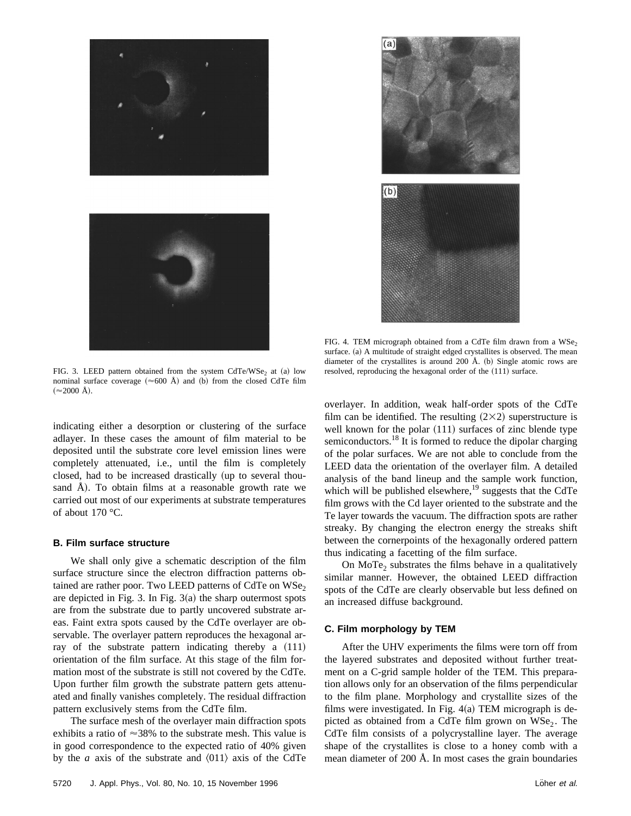



FIG. 3. LEED pattern obtained from the system  $CdTe/WSe<sub>2</sub>$  at (a) low nominal surface coverage  $(\approx 600 \text{ Å})$  and (b) from the closed CdTe film  $(\approx 2000 \text{ Å})$ .

indicating either a desorption or clustering of the surface adlayer. In these cases the amount of film material to be deposited until the substrate core level emission lines were completely attenuated, i.e., until the film is completely closed, had to be increased drastically (up to several thousand  $\AA$ ). To obtain films at a reasonable growth rate we carried out most of our experiments at substrate temperatures of about 170 °C.

#### **B. Film surface structure**

We shall only give a schematic description of the film surface structure since the electron diffraction patterns obtained are rather poor. Two LEED patterns of CdTe on  $WSe<sub>2</sub>$ are depicted in Fig. 3. In Fig.  $3(a)$  the sharp outermost spots are from the substrate due to partly uncovered substrate areas. Faint extra spots caused by the CdTe overlayer are observable. The overlayer pattern reproduces the hexagonal array of the substrate pattern indicating thereby a  $(111)$ orientation of the film surface. At this stage of the film formation most of the substrate is still not covered by the CdTe. Upon further film growth the substrate pattern gets attenuated and finally vanishes completely. The residual diffraction pattern exclusively stems from the CdTe film.

The surface mesh of the overlayer main diffraction spots exhibits a ratio of  $\approx 38\%$  to the substrate mesh. This value is in good correspondence to the expected ratio of 40% given by the *a* axis of the substrate and  $\langle 011 \rangle$  axis of the CdTe

FIG. 4. TEM micrograph obtained from a CdTe film drawn from a  $WSe<sub>2</sub>$ surface. (a) A multitude of straight edged crystallites is observed. The mean diameter of the crystallites is around 200 Å. (b) Single atomic rows are resolved, reproducing the hexagonal order of the (111) surface.

overlayer. In addition, weak half-order spots of the CdTe film can be identified. The resulting  $(2\times2)$  superstructure is well known for the polar  $(111)$  surfaces of zinc blende type semiconductors.<sup>18</sup> It is formed to reduce the dipolar charging of the polar surfaces. We are not able to conclude from the LEED data the orientation of the overlayer film. A detailed analysis of the band lineup and the sample work function, which will be published elsewhere, $19$  suggests that the CdTe film grows with the Cd layer oriented to the substrate and the Te layer towards the vacuum. The diffraction spots are rather streaky. By changing the electron energy the streaks shift between the cornerpoints of the hexagonally ordered pattern thus indicating a facetting of the film surface.

On MoTe<sub>2</sub> substrates the films behave in a qualitatively similar manner. However, the obtained LEED diffraction spots of the CdTe are clearly observable but less defined on an increased diffuse background.

#### **C. Film morphology by TEM**

After the UHV experiments the films were torn off from the layered substrates and deposited without further treatment on a C-grid sample holder of the TEM. This preparation allows only for an observation of the films perpendicular to the film plane. Morphology and crystallite sizes of the films were investigated. In Fig.  $4(a)$  TEM micrograph is depicted as obtained from a CdTe film grown on  $WSe<sub>2</sub>$ . The CdTe film consists of a polycrystalline layer. The average shape of the crystallites is close to a honey comb with a mean diameter of 200 Å. In most cases the grain boundaries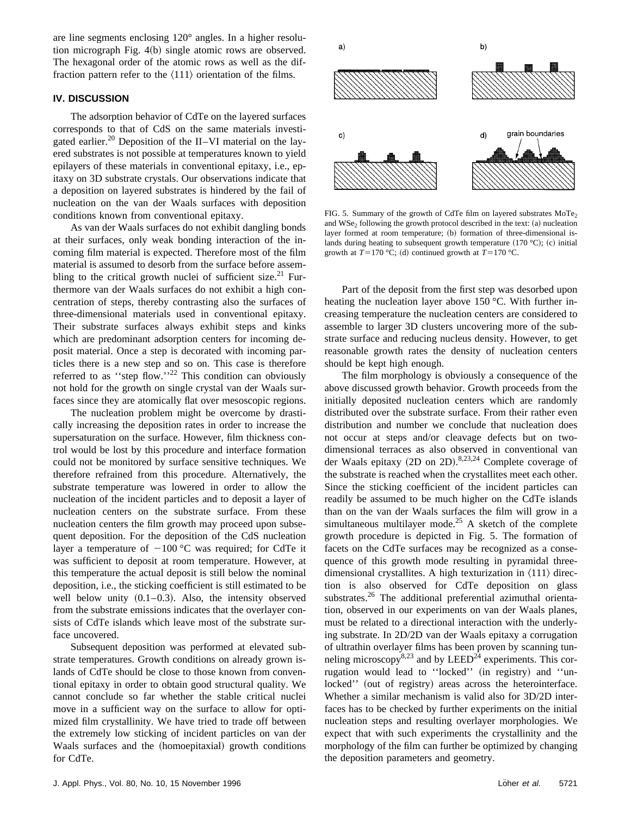are line segments enclosing 120° angles. In a higher resolution micrograph Fig.  $4(b)$  single atomic rows are observed. The hexagonal order of the atomic rows as well as the diffraction pattern refer to the  $\langle 111 \rangle$  orientation of the films.

#### **IV. DISCUSSION**

The adsorption behavior of CdTe on the layered surfaces corresponds to that of CdS on the same materials investigated earlier.20 Deposition of the II–VI material on the layered substrates is not possible at temperatures known to yield epilayers of these materials in conventional epitaxy, i.e., epitaxy on 3D substrate crystals. Our observations indicate that a deposition on layered substrates is hindered by the fail of nucleation on the van der Waals surfaces with deposition conditions known from conventional epitaxy.

As van der Waals surfaces do not exhibit dangling bonds at their surfaces, only weak bonding interaction of the incoming film material is expected. Therefore most of the film material is assumed to desorb from the surface before assembling to the critical growth nuclei of sufficient size.<sup>21</sup> Furthermore van der Waals surfaces do not exhibit a high concentration of steps, thereby contrasting also the surfaces of three-dimensional materials used in conventional epitaxy. Their substrate surfaces always exhibit steps and kinks which are predominant adsorption centers for incoming deposit material. Once a step is decorated with incoming particles there is a new step and so on. This case is therefore referred to as "step flow."<sup>22</sup> This condition can obviously not hold for the growth on single crystal van der Waals surfaces since they are atomically flat over mesoscopic regions.

The nucleation problem might be overcome by drastically increasing the deposition rates in order to increase the supersaturation on the surface. However, film thickness control would be lost by this procedure and interface formation could not be monitored by surface sensitive techniques. We therefore refrained from this procedure. Alternatively, the substrate temperature was lowered in order to allow the nucleation of the incident particles and to deposit a layer of nucleation centers on the substrate surface. From these nucleation centers the film growth may proceed upon subsequent deposition. For the deposition of the CdS nucleation layer a temperature of  $-100$  °C was required; for CdTe it was sufficient to deposit at room temperature. However, at this temperature the actual deposit is still below the nominal deposition, i.e., the sticking coefficient is still estimated to be well below unity  $(0.1–0.3)$ . Also, the intensity observed from the substrate emissions indicates that the overlayer consists of CdTe islands which leave most of the substrate surface uncovered.

Subsequent deposition was performed at elevated substrate temperatures. Growth conditions on already grown islands of CdTe should be close to those known from conventional epitaxy in order to obtain good structural quality. We cannot conclude so far whether the stable critical nuclei move in a sufficient way on the surface to allow for optimized film crystallinity. We have tried to trade off between the extremely low sticking of incident particles on van der Waals surfaces and the (homoepitaxial) growth conditions for CdTe.



FIG. 5. Summary of the growth of CdTe film on layered substrates  $MoTe<sub>2</sub>$ and  $WSe<sub>2</sub>$  following the growth protocol described in the text: (a) nucleation layer formed at room temperature; (b) formation of three-dimensional islands during heating to subsequent growth temperature  $(170 °C)$ ; (c) initial growth at  $T=170$  °C; (d) continued growth at  $T=170$  °C.

Part of the deposit from the first step was desorbed upon heating the nucleation layer above 150 °C. With further increasing temperature the nucleation centers are considered to assemble to larger 3D clusters uncovering more of the substrate surface and reducing nucleus density. However, to get reasonable growth rates the density of nucleation centers should be kept high enough.

The film morphology is obviously a consequence of the above discussed growth behavior. Growth proceeds from the initially deposited nucleation centers which are randomly distributed over the substrate surface. From their rather even distribution and number we conclude that nucleation does not occur at steps and/or cleavage defects but on twodimensional terraces as also observed in conventional van der Waals epitaxy (2D on 2D).  $8,23,24$  Complete coverage of the substrate is reached when the crystallites meet each other. Since the sticking coefficient of the incident particles can readily be assumed to be much higher on the CdTe islands than on the van der Waals surfaces the film will grow in a simultaneous multilayer mode.<sup>25</sup> A sketch of the complete growth procedure is depicted in Fig. 5. The formation of facets on the CdTe surfaces may be recognized as a consequence of this growth mode resulting in pyramidal threedimensional crystallites. A high texturization in  $\langle 111 \rangle$  direction is also observed for CdTe deposition on glass substrates.<sup>26</sup> The additional preferential azimuthal orientation, observed in our experiments on van der Waals planes, must be related to a directional interaction with the underlying substrate. In 2D/2D van der Waals epitaxy a corrugation of ultrathin overlayer films has been proven by scanning tunneling microscopy $8,23$  and by LEED<sup>24</sup> experiments. This corrugation would lead to "locked" (in registry) and "unlocked" (out of registry) areas across the heterointerface. Whether a similar mechanism is valid also for 3D/2D interfaces has to be checked by further experiments on the initial nucleation steps and resulting overlayer morphologies. We expect that with such experiments the crystallinity and the morphology of the film can further be optimized by changing the deposition parameters and geometry.